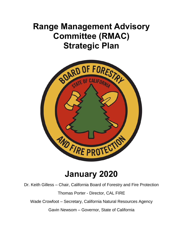# **Range Management Advisory Committee (RMAC) Strategic Plan**



# **January 2020**

Dr. Keith Gilless – Chair, California Board of Forestry and Fire Protection

Thomas Porter - Director, CAL FIRE

Wade Crowfoot – Secretary, California Natural Resources Agency

Gavin Newsom – Governor, State of California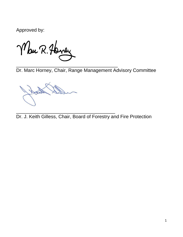Approved by:

Mau R. Haney

Dr. Marc Horney, Chair, Range Management Advisory Committee

\_\_\_\_\_\_\_\_\_\_\_\_\_\_\_\_\_\_\_\_\_\_\_\_\_\_\_\_\_\_\_\_\_\_\_\_\_\_

\_\_\_\_\_\_\_\_\_\_\_\_\_\_\_\_\_\_\_\_\_\_\_\_\_\_\_\_\_\_\_\_\_\_\_\_\_

Dr. J. Keith Gilless, Chair, Board of Forestry and Fire Protection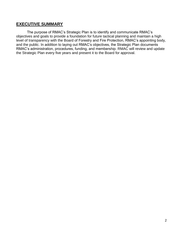### <span id="page-2-0"></span>**EXECUTIVE SUMMARY**

The purpose of RMAC's Strategic Plan is to identify and communicate RMAC's objectives and goals to provide a foundation for future tactical planning and maintain a high level of transparency with the Board of Forestry and Fire Protection, RMAC's appointing body, and the public. In addition to laying out RMAC's objectives, the Strategic Plan documents RMAC's administration, procedures, funding, and membership. RMAC will review and update the Strategic Plan every five years and present it to the Board for approval.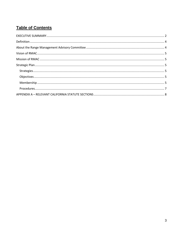# **Table of Contents**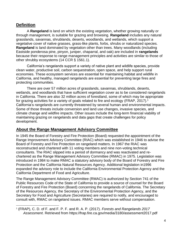## <span id="page-4-0"></span>**Definition**

-

A **Rangeland** is land on which the existing vegetation, whether growing naturally or through management, is suitable for grazing and browsing. **Rangeland** includes any natural grasslands, savannas, shrublands, deserts, woodlands, and wetlands, which support a vegetative cover of native grasses, grass-like plants, forbs, shrubs or naturalized species. **Rangeland** is land dominated by vegetation other than trees. Many woodlands (including Eastside ponderosa pine, pinyon, juniper, chaparral, and oak) are included in **rangelands** because their response to range management principles and activities are similar to those of other shrubby ecosystems (14 CCR § 1561.1).

California's rangelands support a variety of native plant and wildlife species, provide clean water, productive soil, carbon sequestration, open space, and help support rural economies. These ecosystem services are essential for maintaining habitat and wildlife in California, and healthy, managed rangelands are essential for preventing large fires and protecting communities.

There are over 57 million acres of grasslands, savannas, shrublands, deserts, wetlands, and woodlands that have sufficient vegetation cover as to be considered rangelands in California. There are also 32 million acres of forestland, some of which may be appropriate for grazing activities for a variety of goals related to fire and ecology (FRAP, 2017).<sup>1</sup> California's rangelands are currently threatened by several human and environmental impacts. Some of those threats include conversion and land use changes, invasive species, and climate change and wildfire impacts. Other issues include the long-term financial viability of maintaining grazing on rangelands and data gaps that create challenges for policy development.

### <span id="page-4-1"></span>**About the Range Management Advisory Committee**

In 1945 the Board of Forestry and Fire Protection (Board) requested the appointment of the Range Improvement Advisory Committee (RIAC) which was established in 1946 to advise the Board of Forestry and Fire Protection on rangeland matters. In 1967 the RIAC was reconstructed and chartered with 11 voting members and nine non-voting technical consultants. The RIAC slipped into a period of dormancy and was reactivated and rechartered as the Range Management Advisory Committee (RMAC) in 1975. Legislation was introduced in 1984 to make RMAC a statutory advisory body of the Board of Forestry and Fire Protection and the California Natural Resources Agency. Additional legislation in1996 expanded the advisory role to include the California Environmental Protection Agency and the California Department of Food and Agriculture.

The Range Management Advisory Committee (RMAC) is authorized by Section 741 of the Public Resources Code of the State of California to provide a source of counsel for the Board of Forestry and Fire Protection (Board) concerning the rangelands of California. The Secretary of the Resources Agency, the Secretary of the Environmental Protection Agency, and the Secretary for Food and Agriculture (Secretaries) are required to notify, and encouraged to consult with, RMAC on rangeland issues. RMAC members serve without compensation.

<sup>1</sup> (FRAP), C. D. of F. and F. P. F. and R. A. P. (2017). *Forests and Rangelands 2017 Assessment*. Retrieved from https://frap.fire.ca.gov/media/3180/assessment2017.pdf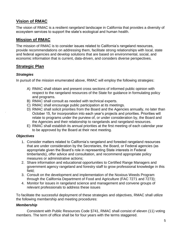# <span id="page-5-0"></span>**Vision of RMAC**

The vision of RMAC is a resilient rangeland landscape in California that provides a diversity of ecosystem services to support the state's ecological and human health.

## <span id="page-5-1"></span>**Mission of RMAC**

The mission of RMAC is to consider issues related to California's rangeland resources, provide recommendations on addressing them, facilitate strong relationships with local, state and federal agencies and develop solutions that are based on environmental, social, and economic information that is current, data-driven, and considers diverse perspectives.

#### <span id="page-5-2"></span>**Strategic Plan**

#### <span id="page-5-3"></span>*Strategies*

In pursuit of the mission enumerated above, RMAC will employ the following strategies:

- A) RMAC shall obtain and present cross sections of informed public opinion with respect to the rangeland resources of the State for guidance in formulating policy and programs.
- B) RMAC shall consult as needed with technical experts.
- C) RMAC shall encourage public participation at its meetings.
- D) RMAC shall solicit priorities from the Board and the Agencies annually, no later than October 15, for incorporation into each year's projects and priorities. Priorities will relate to programs under the purview of, or under consideration by, the Board and the Agencies and their relationship to rangelands and rangeland resources.
- E) RMAC shall establish its annual priorities at the first meeting of each calendar year to be approved by the Board at their next meeting.

#### <span id="page-5-4"></span>*Objectives*

.

- 1. Consider matters related to California's rangeland and forested rangeland resources that are under consideration by the Secretaries, the Board, or Federal agencies (as appropriate given the Board's role in representing State interests in Federal timberlands), offer advice and consultation, and recommend appropriate policy measures or administrative actions;
- 2. Share information and educational opportunities to Certified Range Managers and government agency rangeland and forestry staff to grow professional knowledge in this field;
- 3. Consult on the development and implementation of the Noxious Weeds Program through the California Department of Food and Agriculture (FAC 7271 and 7273);
- 4. Monitor for issues in rangeland science and management and convene groups of relevant professionals to address these issues

To facilitate the successful deployment of these strategies and objectives, RMAC shall utilize the following membership and meeting procedures:

#### <span id="page-5-5"></span>*Membership*

Consistent with Public Resources Code §741, RMAC shall consist of eleven (11) voting members. The term of office shall be for four years with the terms staggered.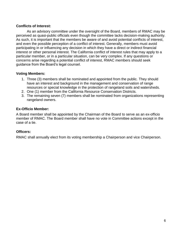#### **Conflicts of Interest:**

As an advisory committee under the oversight of the Board, members of RMAC may be perceived as quasi-public officials even though the committee lacks decision-making authority. As such, it is important that the members be aware of and avoid potential conflicts of interest, and even the possible perception of a conflict of interest. Generally, members must avoid participating in or influencing any decision in which they have a direct or indirect financial interest or other personal interest. The California conflict of interest rules that may apply to a particular member, or in a particular situation, can be very complex. If any questions or concerns arise regarding a potential conflict of interest, RMAC members should seek guidance from the Board's legal counsel.

#### **Voting Members:**

- 1. Three (3) members shall be nominated and appointed from the public. They should have an interest and background in the management and conservation of range resources or special knowledge in the protection of rangeland soils and watersheds.
- 2. One (1) member from the California Resource Conservation Districts.
- 3. The remaining seven (7) members shall be nominated from organizations representing rangeland owners.

#### **Ex-Officio Member:**

A Board member shall be appointed by the Chairman of the Board to serve as an ex-officio member of RMAC. The Board member shall have no vote in Committee actions except in the case of a tie.

#### **Officers:**

RMAC shall annually elect from its voting membership a Chairperson and vice Chairperson.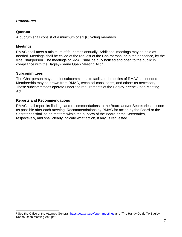#### <span id="page-7-0"></span>*Procedures*

#### **Quorum**

A quorum shall consist of a minimum of six (6) voting members.

#### **Meetings**

-

RMAC shall meet a minimum of four times annually. Additional meetings may be held as needed. Meetings shall be called at the request of the Chairperson, or in their absence, by the vice Chairperson. The meetings of RMAC shall be duly noticed and open to the public in compliance with the Bagley-Keene Open Meeting Act.<sup>2</sup>

#### **Subcommittees**

The Chairperson may appoint subcommittees to facilitate the duties of RMAC, as needed. Membership may be drawn from RMAC, technical consultants, and others as necessary. These subcommittees operate under the requirements of the Bagley-Keene Open Meeting Act.

#### **Reports and Recommendations**

RMAC shall report its findings and recommendations to the Board and/or Secretaries as soon as possible after each meeting. Recommendations by RMAC for action by the Board or the Secretaries shall be on matters within the purview of the Board or the Secretaries, respectively, and shall clearly indicate what action, if any, is requested.

<sup>&</sup>lt;sup>2</sup> See the Office of the Attorney General:<https://oag.ca.gov/open-meetings> and "The Handy Guide To Bagley-Keene Open Meeting Act" pdf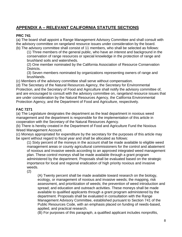# <span id="page-8-0"></span>**APPENDIX A – RELEVANT CALIFORNIA STATUTE SECTIONS**

#### **PRC 741**

(a) The board shall appoint a Range Management Advisory Committee and shall consult with the advisory committee on rangeland resource issues under consideration by the board. (b) The advisory committee shall consist of 11 members, who shall be selected as follows:

(1) Three members of the general public, who have an interest and background in the conservation of range resources or special knowledge in the protection of range and brushland soils and watersheds.

(2) One member nominated by the California Association of Resource Conservation Districts.

(3) Seven members nominated by organizations representing owners of range and brushlands.

(c) Members of the advisory committee shall serve without compensation.

(d) The Secretary of the Natural Resources Agency, the Secretary for Environmental Protection, and the Secretary of Food and Agriculture shall notify the advisory committee of, and are encouraged to consult with the advisory committee on, rangeland resource issues that are under consideration by the Natural Resources Agency, the California Environmental Protection Agency, and the Department of Food and Agriculture, respectively.

#### **FAC 7271**

(a) The Legislature designates the department as the lead department in noxious weed management and the department is responsible for the implementation of this article in cooperation with the Secretary of the Natural Resources Agency.

(b) There is hereby created in the Department of Food and Agriculture Fund the Noxious Weed Management Account.

(c) Moneys appropriated for expenditure by the secretary for the purposes of this article may be spent without regard to fiscal year and shall be allocated as follows:

(1) Sixty percent of the moneys in the account shall be made available to eligible weed management areas or county agricultural commissioners for the control and abatement of noxious and invasive weeds according to an approved integrated weed management plan. These control moneys shall be made available through a grant program administered by the department. Proposals shall be evaluated based on the strategic importance for local and regional eradication of high priority noxious and invasive weeds.

(2)

(A) Twenty percent shall be made available toward research on the biology, ecology, or management of noxious and invasive weeds; the mapping, risk assessment, and prioritization of weeds; the prevention of weed introduction and spread; and education and outreach activities. These moneys shall be made available to qualified applicants through a grant program administered by the department. Proposals shall be evaluated in consultation with the Range Management Advisory Committee, established pursuant to Section 741 of the Public Resources Code, with an emphasis placed on funding of needs-based, applied, and practical research.

(B) For purposes of this paragraph, a qualified applicant includes nonprofits,